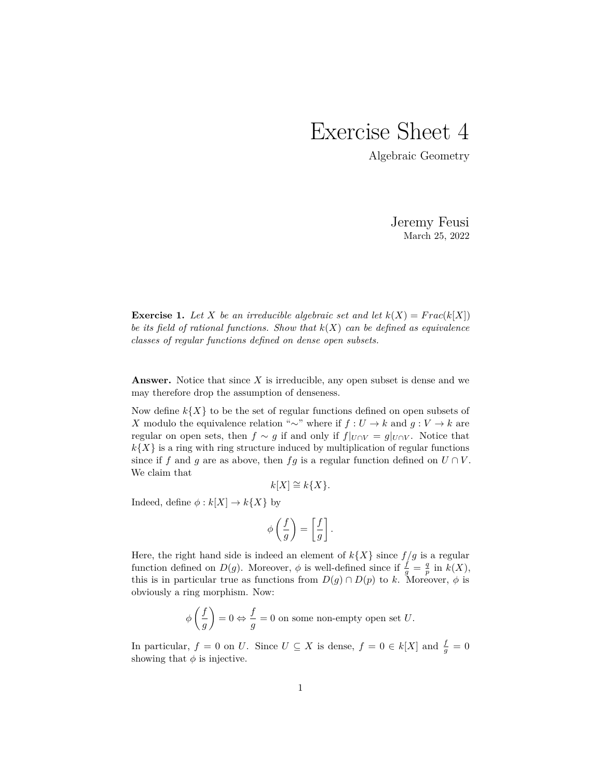## Exercise Sheet 4

Algebraic Geometry

Jeremy Feusi March 25, 2022

**Exercise 1.** Let *X* be an irreducible algebraic set and let  $k(X) = Frac(k[X])$ *be its field of rational functions. Show that k*(*X*) *can be defined as equivalence classes of regular functions defined on dense open subsets.*

**Answer.** Notice that since *X* is irreducible, any open subset is dense and we may therefore drop the assumption of denseness.

Now define  $k\{X\}$  to be the set of regular functions defined on open subsets of *X* modulo the equivalence relation "∼" where if  $f: U \to k$  and  $g: V \to k$  are regular on open sets, then  $f \sim g$  if and only if  $f|_{U \cap V} = g|_{U \cap V}$ . Notice that  $k\{X\}$  is a ring with ring structure induced by multiplication of regular functions since if *f* and *g* are as above, then *fg* is a regular function defined on  $U \cap V$ . We claim that

$$
k[X] \cong k\{X\}.
$$

Indeed, define  $\phi : k[X] \to k\{X\}$  by

$$
\phi\left(\frac{f}{g}\right) = \left[\frac{f}{g}\right].
$$

Here, the right hand side is indeed an element of  $k\{X\}$  since  $f/g$  is a regular function defined on  $D(g)$ . Moreover,  $\phi$  is well-defined since if  $\frac{f}{g} = \frac{q}{p}$  in  $k(X)$ , this is in particular true as functions from  $D(q) \cap D(p)$  to k. Moreover,  $\phi$  is obviously a ring morphism. Now:

$$
\phi\left(\frac{f}{g}\right) = 0 \Leftrightarrow \frac{f}{g} = 0
$$
 on some non-empty open set  $U$ .

In particular,  $f = 0$  on *U*. Since  $U \subseteq X$  is dense,  $f = 0 \in k[X]$  and  $\frac{f}{g} = 0$ showing that  $\phi$  is injective.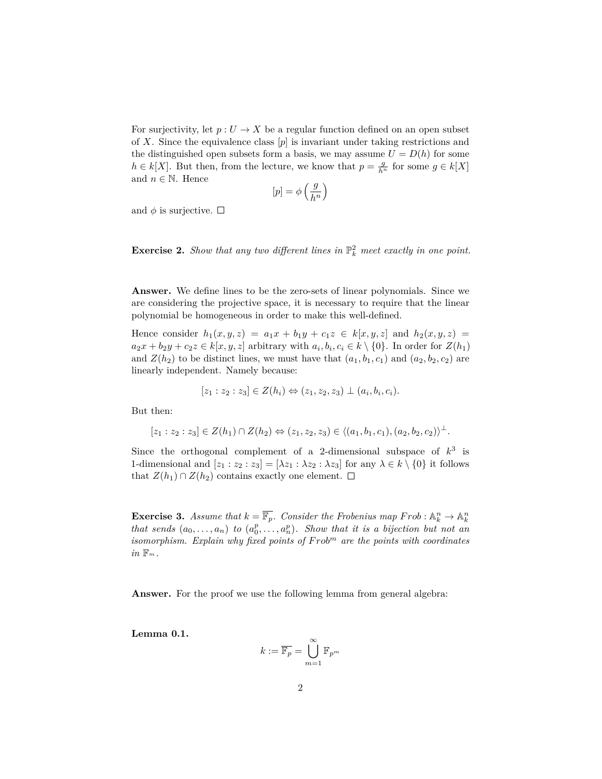For surjectivity, let  $p: U \to X$  be a regular function defined on an open subset of *X*. Since the equivalence class [*p*] is invariant under taking restrictions and the distinguished open subsets form a basis, we may assume  $U = D(h)$  for some *h* ∈ *k*[*X*]. But then, from the lecture, we know that  $p = \frac{g}{h^n}$  for some  $g \in k[X]$ and  $n \in \mathbb{N}$ . Hence

$$
[p]=\phi\left(\frac{g}{h^n}\right)
$$

and  $\phi$  is surjective.  $\Box$ 

**Exercise 2.** *Show that any two different lines in*  $\mathbb{P}_k^2$  *meet exactly in one point.* 

**Answer.** We define lines to be the zero-sets of linear polynomials. Since we are considering the projective space, it is necessary to require that the linear polynomial be homogeneous in order to make this well-defined.

Hence consider  $h_1(x, y, z) = a_1x + b_1y + c_1z \in k[x, y, z]$  and  $h_2(x, y, z) =$  $a_2x + b_2y + c_2z \in k[x, y, z]$  arbitrary with  $a_i, b_i, c_i \in k \setminus \{0\}$ . In order for  $Z(h_1)$ and  $Z(h_2)$  to be distinct lines, we must have that  $(a_1, b_1, c_1)$  and  $(a_2, b_2, c_2)$  are linearly independent. Namely because:

$$
[z_1 : z_2 : z_3] \in Z(h_i) \Leftrightarrow (z_1, z_2, z_3) \perp (a_i, b_i, c_i).
$$

But then:

$$
[z_1 : z_2 : z_3] \in Z(h_1) \cap Z(h_2) \Leftrightarrow (z_1, z_2, z_3) \in \langle (a_1, b_1, c_1), (a_2, b_2, c_2) \rangle^{\perp}.
$$

Since the orthogonal complement of a 2-dimensional subspace of  $k^3$  is 1-dimensional and  $[z_1 : z_2 : z_3] = [\lambda z_1 : \lambda z_2 : \lambda z_3]$  for any  $\lambda \in k \setminus \{0\}$  it follows that  $Z(h_1) \cap Z(h_2)$  contains exactly one element.  $\square$ 

**Exercise 3.** Assume that  $k = \overline{\mathbb{F}_p}$ . Consider the Frobenius map  $Frob : \mathbb{A}_k^n \to \mathbb{A}_k^n$ *that sends*  $(a_0, \ldots, a_n)$  *to*  $(a_0^p, \ldots, a_n^p)$ *. Show that it is a bijection but not an isomorphism. Explain why fixed points of F rob<sup>m</sup> are the points with coordinates in* F*m.*

**Answer.** For the proof we use the following lemma from general algebra:

**Lemma 0.1.**

$$
k:=\overline{\mathbb{F}_p}=\bigcup_{m=1}^\infty \mathbb{F}_{p^m}
$$